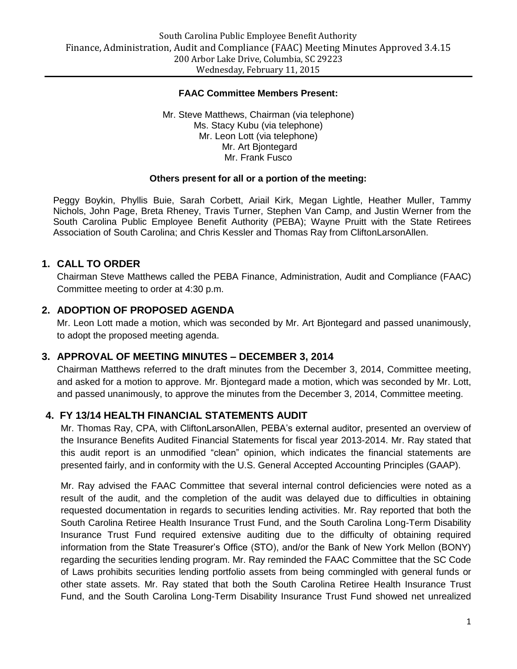#### **FAAC Committee Members Present:**

Mr. Steve Matthews, Chairman (via telephone) Ms. Stacy Kubu (via telephone) Mr. Leon Lott (via telephone) Mr. Art Bjontegard Mr. Frank Fusco

#### **Others present for all or a portion of the meeting:**

Peggy Boykin, Phyllis Buie, Sarah Corbett, Ariail Kirk, Megan Lightle, Heather Muller, Tammy Nichols, John Page, Breta Rheney, Travis Turner, Stephen Van Camp, and Justin Werner from the South Carolina Public Employee Benefit Authority (PEBA); Wayne Pruitt with the State Retirees Association of South Carolina; and Chris Kessler and Thomas Ray from CliftonLarsonAllen.

### **1. CALL TO ORDER**

Chairman Steve Matthews called the PEBA Finance, Administration, Audit and Compliance (FAAC) Committee meeting to order at 4:30 p.m.

### **2. ADOPTION OF PROPOSED AGENDA**

Mr. Leon Lott made a motion, which was seconded by Mr. Art Bjontegard and passed unanimously, to adopt the proposed meeting agenda.

#### **3. APPROVAL OF MEETING MINUTES – DECEMBER 3, 2014**

Chairman Matthews referred to the draft minutes from the December 3, 2014, Committee meeting, and asked for a motion to approve. Mr. Bjontegard made a motion, which was seconded by Mr. Lott, and passed unanimously, to approve the minutes from the December 3, 2014, Committee meeting.

## **4. FY 13/14 HEALTH FINANCIAL STATEMENTS AUDIT**

Mr. Thomas Ray, CPA, with CliftonLarsonAllen, PEBA's external auditor, presented an overview of the Insurance Benefits Audited Financial Statements for fiscal year 2013-2014. Mr. Ray stated that this audit report is an unmodified "clean" opinion, which indicates the financial statements are presented fairly, and in conformity with the U.S. General Accepted Accounting Principles (GAAP).

Mr. Ray advised the FAAC Committee that several internal control deficiencies were noted as a result of the audit, and the completion of the audit was delayed due to difficulties in obtaining requested documentation in regards to securities lending activities. Mr. Ray reported that both the South Carolina Retiree Health Insurance Trust Fund, and the South Carolina Long-Term Disability Insurance Trust Fund required extensive auditing due to the difficulty of obtaining required information from the State Treasurer's Office (STO), and/or the Bank of New York Mellon (BONY) regarding the securities lending program. Mr. Ray reminded the FAAC Committee that the SC Code of Laws prohibits securities lending portfolio assets from being commingled with general funds or other state assets. Mr. Ray stated that both the South Carolina Retiree Health Insurance Trust Fund, and the South Carolina Long-Term Disability Insurance Trust Fund showed net unrealized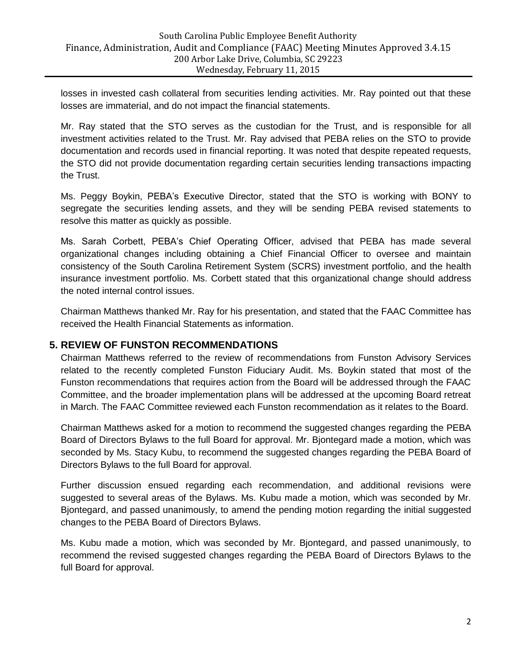losses in invested cash collateral from securities lending activities. Mr. Ray pointed out that these losses are immaterial, and do not impact the financial statements.

Mr. Ray stated that the STO serves as the custodian for the Trust, and is responsible for all investment activities related to the Trust. Mr. Ray advised that PEBA relies on the STO to provide documentation and records used in financial reporting. It was noted that despite repeated requests, the STO did not provide documentation regarding certain securities lending transactions impacting the Trust.

Ms. Peggy Boykin, PEBA's Executive Director, stated that the STO is working with BONY to segregate the securities lending assets, and they will be sending PEBA revised statements to resolve this matter as quickly as possible.

Ms. Sarah Corbett, PEBA's Chief Operating Officer, advised that PEBA has made several organizational changes including obtaining a Chief Financial Officer to oversee and maintain consistency of the South Carolina Retirement System (SCRS) investment portfolio, and the health insurance investment portfolio. Ms. Corbett stated that this organizational change should address the noted internal control issues.

Chairman Matthews thanked Mr. Ray for his presentation, and stated that the FAAC Committee has received the Health Financial Statements as information.

## **5. REVIEW OF FUNSTON RECOMMENDATIONS**

Chairman Matthews referred to the review of recommendations from Funston Advisory Services related to the recently completed Funston Fiduciary Audit. Ms. Boykin stated that most of the Funston recommendations that requires action from the Board will be addressed through the FAAC Committee, and the broader implementation plans will be addressed at the upcoming Board retreat in March. The FAAC Committee reviewed each Funston recommendation as it relates to the Board.

Chairman Matthews asked for a motion to recommend the suggested changes regarding the PEBA Board of Directors Bylaws to the full Board for approval. Mr. Bjontegard made a motion, which was seconded by Ms. Stacy Kubu, to recommend the suggested changes regarding the PEBA Board of Directors Bylaws to the full Board for approval.

Further discussion ensued regarding each recommendation, and additional revisions were suggested to several areas of the Bylaws. Ms. Kubu made a motion, which was seconded by Mr. Bjontegard, and passed unanimously, to amend the pending motion regarding the initial suggested changes to the PEBA Board of Directors Bylaws.

Ms. Kubu made a motion, which was seconded by Mr. Bjontegard, and passed unanimously, to recommend the revised suggested changes regarding the PEBA Board of Directors Bylaws to the full Board for approval.